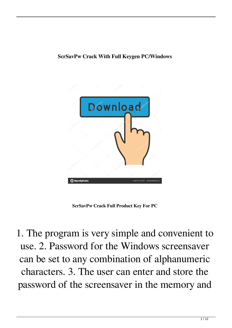#### **ScrSavPw Crack With Full Keygen PC/Windows**



**ScrSavPw Crack Full Product Key For PC**

1. The program is very simple and convenient to use. 2. Password for the Windows screensaver can be set to any combination of alphanumeric characters. 3. The user can enter and store the password of the screensaver in the memory and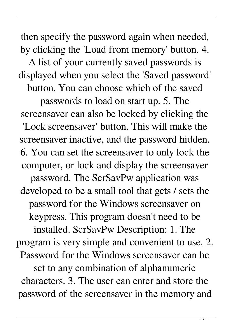then specify the password again when needed, by clicking the 'Load from memory' button. 4.

A list of your currently saved passwords is displayed when you select the 'Saved password' button. You can choose which of the saved

passwords to load on start up. 5. The screensaver can also be locked by clicking the 'Lock screensaver' button. This will make the screensaver inactive, and the password hidden. 6. You can set the screensaver to only lock the computer, or lock and display the screensaver

password. The ScrSavPw application was developed to be a small tool that gets / sets the password for the Windows screensaver on keypress. This program doesn't need to be installed. ScrSavPw Description: 1. The program is very simple and convenient to use. 2. Password for the Windows screensaver can be set to any combination of alphanumeric characters. 3. The user can enter and store the password of the screensaver in the memory and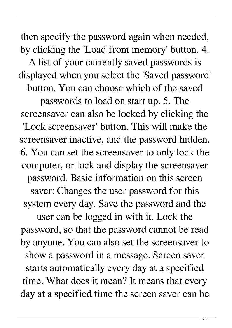then specify the password again when needed, by clicking the 'Load from memory' button. 4. A list of your currently saved passwords is displayed when you select the 'Saved password' button. You can choose which of the saved

passwords to load on start up. 5. The screensaver can also be locked by clicking the 'Lock screensaver' button. This will make the screensaver inactive, and the password hidden. 6. You can set the screensaver to only lock the computer, or lock and display the screensaver password. Basic information on this screen saver: Changes the user password for this system every day. Save the password and the

user can be logged in with it. Lock the password, so that the password cannot be read by anyone. You can also set the screensaver to show a password in a message. Screen saver starts automatically every day at a specified time. What does it mean? It means that every day at a specified time the screen saver can be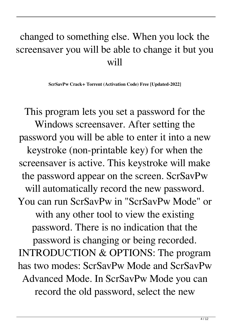#### changed to something else. When you lock the screensaver you will be able to change it but you will

**ScrSavPw Crack+ Torrent (Activation Code) Free [Updated-2022]**

This program lets you set a password for the Windows screensaver. After setting the password you will be able to enter it into a new keystroke (non-printable key) for when the screensaver is active. This keystroke will make the password appear on the screen. ScrSavPw will automatically record the new password. You can run ScrSavPw in "ScrSavPw Mode" or with any other tool to view the existing password. There is no indication that the password is changing or being recorded. INTRODUCTION & OPTIONS: The program has two modes: ScrSavPw Mode and ScrSavPw Advanced Mode. In ScrSavPw Mode you can record the old password, select the new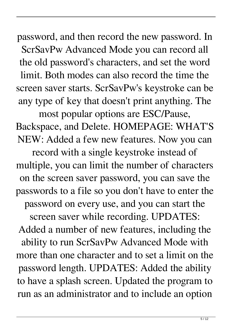password, and then record the new password. In ScrSavPw Advanced Mode you can record all the old password's characters, and set the word limit. Both modes can also record the time the screen saver starts. ScrSavPw's keystroke can be any type of key that doesn't print anything. The

most popular options are ESC/Pause, Backspace, and Delete. HOMEPAGE: WHAT'S NEW: Added a few new features. Now you can record with a single keystroke instead of multiple, you can limit the number of characters on the screen saver password, you can save the passwords to a file so you don't have to enter the password on every use, and you can start the screen saver while recording. UPDATES: Added a number of new features, including the ability to run ScrSavPw Advanced Mode with more than one character and to set a limit on the password length. UPDATES: Added the ability to have a splash screen. Updated the program to run as an administrator and to include an option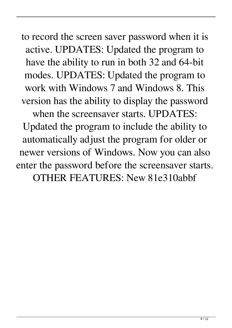to record the screen saver password when it is active. UPDATES: Updated the program to have the ability to run in both 32 and 64-bit modes. UPDATES: Updated the program to work with Windows 7 and Windows 8. This version has the ability to display the password when the screensaver starts. UPDATES: Updated the program to include the ability to automatically adjust the program for older or newer versions of Windows. Now you can also enter the password before the screensaver starts. OTHER FEATURES: New 81e310abbf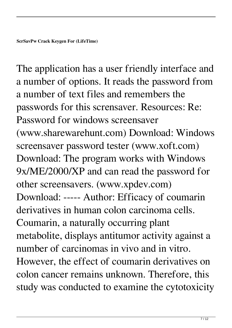The application has a user friendly interface and a number of options. It reads the password from a number of text files and remembers the passwords for this scrensaver. Resources: Re: Password for windows screensaver (www.sharewarehunt.com) Download: Windows screensaver password tester (www.xoft.com) Download: The program works with Windows 9x/ME/2000/XP and can read the password for other screensavers. (www.xpdev.com) Download: ----- Author: Efficacy of coumarin derivatives in human colon carcinoma cells. Coumarin, a naturally occurring plant metabolite, displays antitumor activity against a number of carcinomas in vivo and in vitro. However, the effect of coumarin derivatives on colon cancer remains unknown. Therefore, this study was conducted to examine the cytotoxicity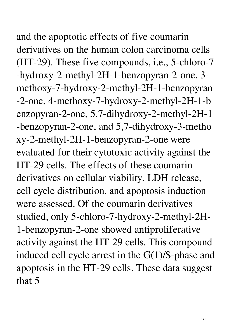## and the apoptotic effects of five coumarin derivatives on the human colon carcinoma cells (HT-29). These five compounds, i.e., 5-chloro-7 -hydroxy-2-methyl-2H-1-benzopyran-2-one, 3 methoxy-7-hydroxy-2-methyl-2H-1-benzopyran -2-one, 4-methoxy-7-hydroxy-2-methyl-2H-1-b enzopyran-2-one, 5,7-dihydroxy-2-methyl-2H-1 -benzopyran-2-one, and 5,7-dihydroxy-3-metho xy-2-methyl-2H-1-benzopyran-2-one were evaluated for their cytotoxic activity against the HT-29 cells. The effects of these coumarin derivatives on cellular viability, LDH release, cell cycle distribution, and apoptosis induction were assessed. Of the coumarin derivatives studied, only 5-chloro-7-hydroxy-2-methyl-2H-1-benzopyran-2-one showed antiproliferative activity against the HT-29 cells. This compound induced cell cycle arrest in the G(1)/S-phase and apoptosis in the HT-29 cells. These data suggest that 5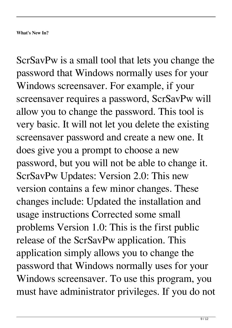**What's New In?**

ScrSavPw is a small tool that lets you change the password that Windows normally uses for your Windows screensaver. For example, if your screensaver requires a password, ScrSavPw will allow you to change the password. This tool is very basic. It will not let you delete the existing screensaver password and create a new one. It does give you a prompt to choose a new password, but you will not be able to change it. ScrSavPw Updates: Version 2.0: This new version contains a few minor changes. These changes include: Updated the installation and usage instructions Corrected some small problems Version 1.0: This is the first public release of the ScrSavPw application. This application simply allows you to change the password that Windows normally uses for your Windows screensaver. To use this program, you must have administrator privileges. If you do not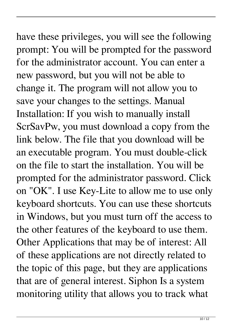## have these privileges, you will see the following prompt: You will be prompted for the password for the administrator account. You can enter a new password, but you will not be able to change it. The program will not allow you to save your changes to the settings. Manual Installation: If you wish to manually install ScrSavPw, you must download a copy from the link below. The file that you download will be an executable program. You must double-click on the file to start the installation. You will be prompted for the administrator password. Click on "OK". I use Key-Lite to allow me to use only keyboard shortcuts. You can use these shortcuts in Windows, but you must turn off the access to the other features of the keyboard to use them. Other Applications that may be of interest: All of these applications are not directly related to the topic of this page, but they are applications

that are of general interest. Siphon Is a system monitoring utility that allows you to track what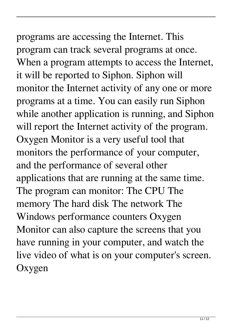# programs are accessing the Internet. This program can track several programs at once.

When a program attempts to access the Internet, it will be reported to Siphon. Siphon will monitor the Internet activity of any one or more programs at a time. You can easily run Siphon while another application is running, and Siphon will report the Internet activity of the program. Oxygen Monitor is a very useful tool that monitors the performance of your computer, and the performance of several other applications that are running at the same time. The program can monitor: The CPU The memory The hard disk The network The Windows performance counters Oxygen Monitor can also capture the screens that you have running in your computer, and watch the live video of what is on your computer's screen. **Oxygen**